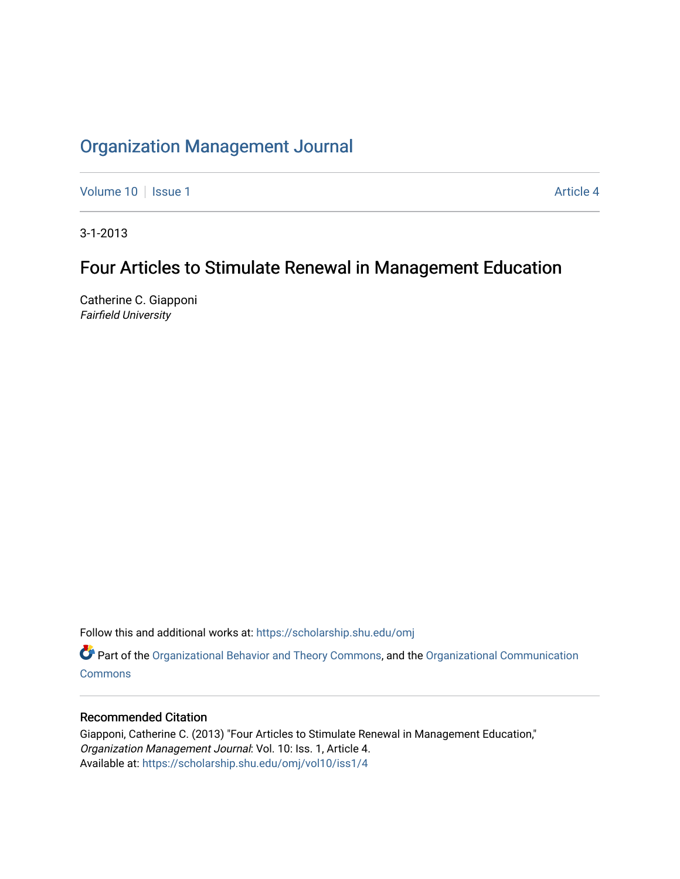# [Organization Management Journal](https://scholarship.shu.edu/omj)

[Volume 10](https://scholarship.shu.edu/omj/vol10) | [Issue 1](https://scholarship.shu.edu/omj/vol10/iss1) Article 4

3-1-2013

## Four Articles to Stimulate Renewal in Management Education

Catherine C. Giapponi Fairfield University

Follow this and additional works at: [https://scholarship.shu.edu/omj](https://scholarship.shu.edu/omj?utm_source=scholarship.shu.edu%2Fomj%2Fvol10%2Fiss1%2F4&utm_medium=PDF&utm_campaign=PDFCoverPages) 

Part of the [Organizational Behavior and Theory Commons,](http://network.bepress.com/hgg/discipline/639?utm_source=scholarship.shu.edu%2Fomj%2Fvol10%2Fiss1%2F4&utm_medium=PDF&utm_campaign=PDFCoverPages) and the [Organizational Communication](http://network.bepress.com/hgg/discipline/335?utm_source=scholarship.shu.edu%2Fomj%2Fvol10%2Fiss1%2F4&utm_medium=PDF&utm_campaign=PDFCoverPages) **[Commons](http://network.bepress.com/hgg/discipline/335?utm_source=scholarship.shu.edu%2Fomj%2Fvol10%2Fiss1%2F4&utm_medium=PDF&utm_campaign=PDFCoverPages)** 

### Recommended Citation

Giapponi, Catherine C. (2013) "Four Articles to Stimulate Renewal in Management Education," Organization Management Journal: Vol. 10: Iss. 1, Article 4. Available at: [https://scholarship.shu.edu/omj/vol10/iss1/4](https://scholarship.shu.edu/omj/vol10/iss1/4?utm_source=scholarship.shu.edu%2Fomj%2Fvol10%2Fiss1%2F4&utm_medium=PDF&utm_campaign=PDFCoverPages)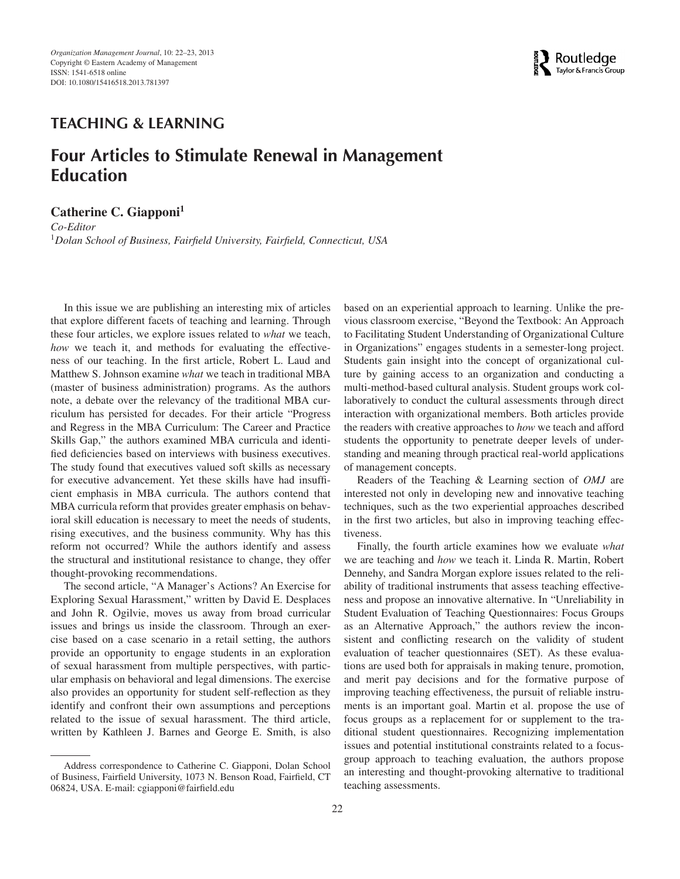

### **TEACHING & LEARNING**

## **Four Articles to Stimulate Renewal in Management Education**

#### **Catherine C. Giapponi<sup>1</sup>**

*Co-Editor* <sup>1</sup>*Dolan School of Business, Fairfield University, Fairfield, Connecticut, USA*

In this issue we are publishing an interesting mix of articles that explore different facets of teaching and learning. Through these four articles, we explore issues related to *what* we teach, *how* we teach it, and methods for evaluating the effectiveness of our teaching. In the first article, Robert L. Laud and Matthew S. Johnson examine *what* we teach in traditional MBA (master of business administration) programs. As the authors note, a debate over the relevancy of the traditional MBA curriculum has persisted for decades. For their article "Progress and Regress in the MBA Curriculum: The Career and Practice Skills Gap," the authors examined MBA curricula and identified deficiencies based on interviews with business executives. The study found that executives valued soft skills as necessary for executive advancement. Yet these skills have had insufficient emphasis in MBA curricula. The authors contend that MBA curricula reform that provides greater emphasis on behavioral skill education is necessary to meet the needs of students, rising executives, and the business community. Why has this reform not occurred? While the authors identify and assess the structural and institutional resistance to change, they offer thought-provoking recommendations.

The second article, "A Manager's Actions? An Exercise for Exploring Sexual Harassment," written by David E. Desplaces and John R. Ogilvie, moves us away from broad curricular issues and brings us inside the classroom. Through an exercise based on a case scenario in a retail setting, the authors provide an opportunity to engage students in an exploration of sexual harassment from multiple perspectives, with particular emphasis on behavioral and legal dimensions. The exercise also provides an opportunity for student self-reflection as they identify and confront their own assumptions and perceptions related to the issue of sexual harassment. The third article, written by Kathleen J. Barnes and George E. Smith, is also

based on an experiential approach to learning. Unlike the previous classroom exercise, "Beyond the Textbook: An Approach to Facilitating Student Understanding of Organizational Culture in Organizations" engages students in a semester-long project. Students gain insight into the concept of organizational culture by gaining access to an organization and conducting a multi-method-based cultural analysis. Student groups work collaboratively to conduct the cultural assessments through direct interaction with organizational members. Both articles provide the readers with creative approaches to *how* we teach and afford students the opportunity to penetrate deeper levels of understanding and meaning through practical real-world applications of management concepts.

Readers of the Teaching & Learning section of *OMJ* are interested not only in developing new and innovative teaching techniques, such as the two experiential approaches described in the first two articles, but also in improving teaching effectiveness.

Finally, the fourth article examines how we evaluate *what* we are teaching and *how* we teach it. Linda R. Martin, Robert Dennehy, and Sandra Morgan explore issues related to the reliability of traditional instruments that assess teaching effectiveness and propose an innovative alternative. In "Unreliability in Student Evaluation of Teaching Questionnaires: Focus Groups as an Alternative Approach," the authors review the inconsistent and conflicting research on the validity of student evaluation of teacher questionnaires (SET). As these evaluations are used both for appraisals in making tenure, promotion, and merit pay decisions and for the formative purpose of improving teaching effectiveness, the pursuit of reliable instruments is an important goal. Martin et al. propose the use of focus groups as a replacement for or supplement to the traditional student questionnaires. Recognizing implementation issues and potential institutional constraints related to a focusgroup approach to teaching evaluation, the authors propose an interesting and thought-provoking alternative to traditional teaching assessments.

Address correspondence to Catherine C. Giapponi, Dolan School of Business, Fairfield University, 1073 N. Benson Road, Fairfield, CT 06824, USA. E-mail: cgiapponi@fairfield.edu